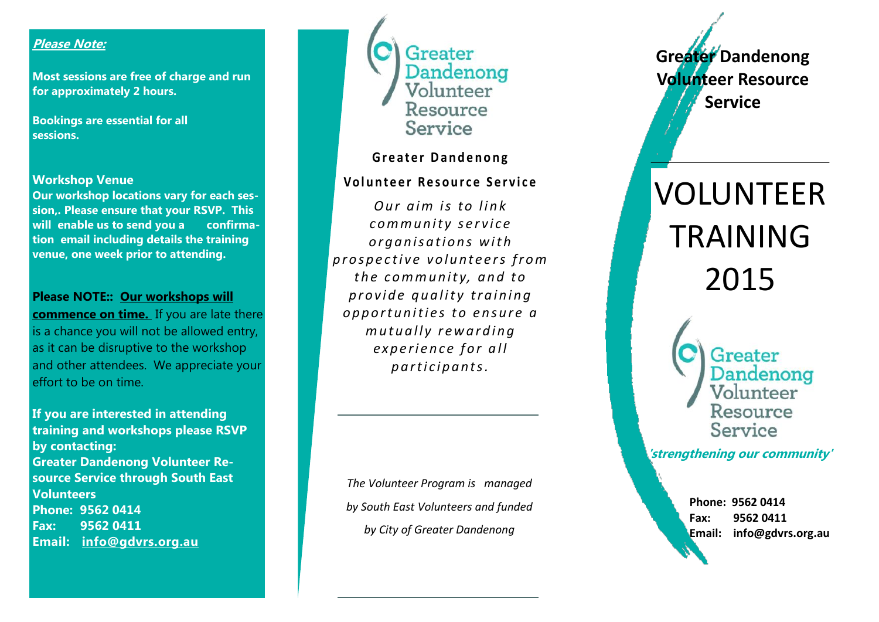## **Please Note:**

**Most sessions are free of charge and run for approximately 2 hours.**

**Bookings are essential for all sessions.**

#### **Workshop Venue**

**Our workshop locations vary for each session,. Please ensure that your RSVP. This will enable us to send you a confirmation email including details the training venue, one week prior to attending.** 

#### **Please NOTE:: Our workshops will**

**commence on time.** If you are late there is a chance you will not be allowed entry, as it can be disruptive to the workshop and other attendees. We appreciate your effort to be on time.

**If you are interested in attending training and workshops please RSVP by contacting: Greater Dandenong Volunteer Resource Service through South East Volunteers Phone: 9562 0414 Fax: 9562 0411 Email: info@gdvrs.org.au** 



## **Greater Dandenong**

## **Vo l u n t e e r R e s o u r c e S e r v i c e**

*<u>Our aim is to link</u>*  $comm$ *unity service o r g a n i s a t i o n s w i t h p r o s p e c t i v e v o l u n t e e r s f r o m t h e c o m m u n i t y, a n d t o p r o v i d e q u a l i t y t r a i n i n g o p p o r t u n i t i e s t o e n s u r e a m u t u a l l y r e w a r d i n g experience for all p a r t i c i p a n t s .* 

*The Volunteer Program is managed by South East Volunteers and funded by City of Greater Dandenong* 

**Greater Dandenong Volunteer Resource Service**

# VOLUNTEER TRAINING 2015

Greater Dandenong Volunteer Resource Service

**'strengthening our community'**

**Phone: 9562 0414 Fax: 9562 0411 Email: info@gdvrs.org.au**